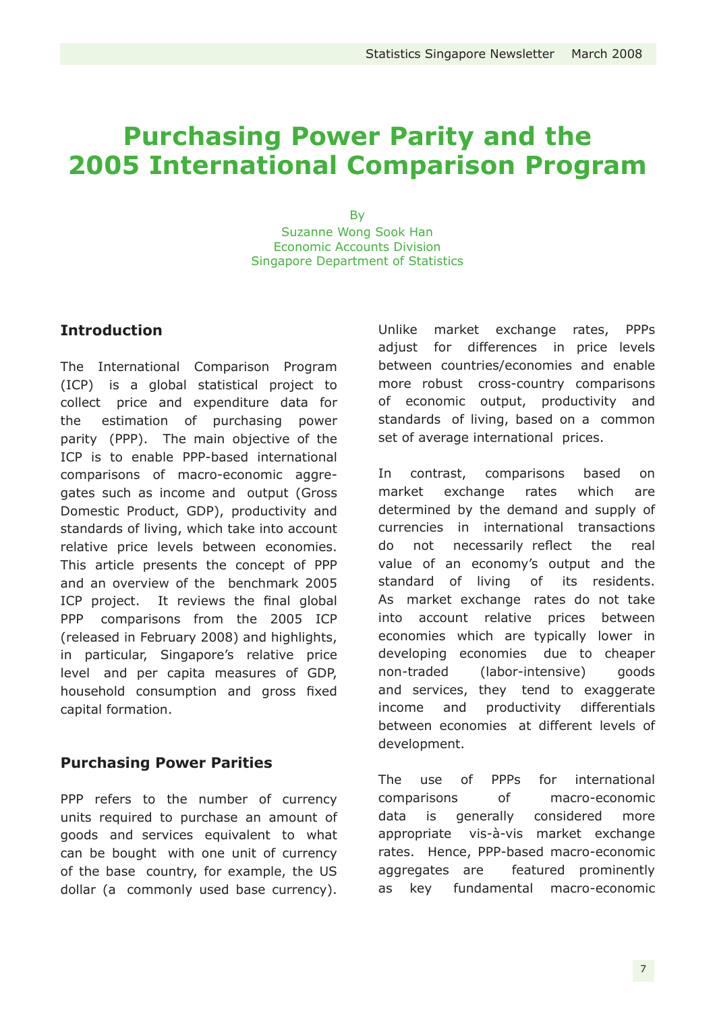# **Purchasing Power Parity and the 2005 International Comparison Program**

**By** Suzanne Wong Sook Han Economic Accounts Division Singapore Department of Statistics

# **Introduction**

The International Comparison Program (ICP) is a global statistical project to collect price and expenditure data for the estimation of purchasing power parity (PPP). The main objective of the ICP is to enable PPP-based international comparisons of macro-economic aggregates such as income and output (Gross Domestic Product, GDP), productivity and standards of living, which take into account relative price levels between economies. This article presents the concept of PPP and an overview of the benchmark 2005 ICP project. It reviews the final global PPP comparisons from the 2005 ICP (released in February 2008) and highlights, in particular, Singapore's relative price level and per capita measures of GDP, household consumption and gross fixed capital formation.

## **Purchasing Power Parities**

PPP refers to the number of currency units required to purchase an amount of goods and services equivalent to what can be bought with one unit of currency of the base country, for example, the US dollar (a commonly used base currency). Unlike market exchange rates, PPPs adjust for differences in price levels between countries/economies and enable more robust cross-country comparisons of economic output, productivity and standards of living, based on a common set of average international prices.

In contrast, comparisons based on market exchange rates which are determined by the demand and supply of currencies in international transactions do not necessarily reflect the real value of an economy's output and the standard of living of its residents. As market exchange rates do not take into account relative prices between economies which are typically lower in developing economies due to cheaper non-traded (labor-intensive) goods and services, they tend to exaggerate income and productivity differentials between economies at different levels of development.

The use of PPPs for international comparisons of macro-economic data is generally considered more appropriate vis-à-vis market exchange rates. Hence, PPP-based macro-economic aggregates are featured prominently as key fundamental macro-economic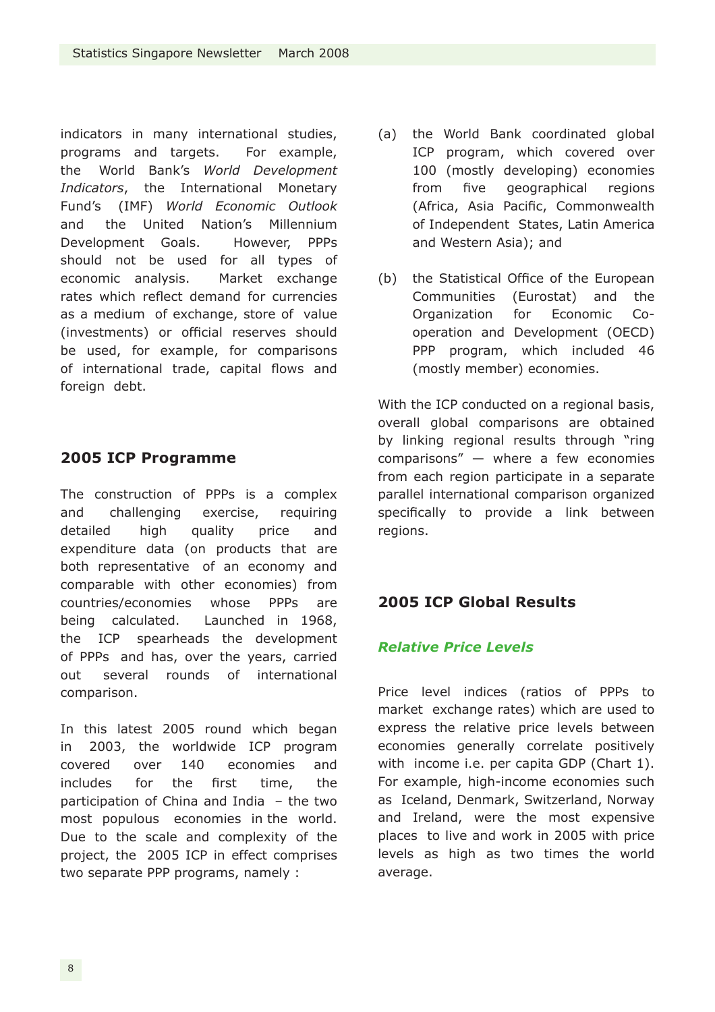indicators in many international studies, programs and targets. For example, the World Bank's *World Development Indicators*, the International Monetary Fund's (IMF) *World Economic Outlook* and the United Nation's Millennium Development Goals. However, PPPs should not be used for all types of economic analysis. Market exchange rates which reflect demand for currencies as a medium of exchange, store of value (investments) or official reserves should be used, for example, for comparisons of international trade, capital flows and foreign debt.

# **2005 ICP Programme**

The construction of PPPs is a complex and challenging exercise, requiring detailed high quality price and expenditure data (on products that are both representative of an economy and comparable with other economies) from countries/economies whose PPPs are being calculated. Launched in 1968, the ICP spearheads the development of PPPs and has, over the years, carried out several rounds of international comparison.

In this latest 2005 round which began in 2003, the worldwide ICP program covered over 140 economies and includes for the first time, the participation of China and India – the two most populous economies in the world. Due to the scale and complexity of the project, the 2005 ICP in effect comprises two separate PPP programs, namely :

- (a) the World Bank coordinated global ICP program, which covered over 100 (mostly developing) economies from five geographical regions (Africa, Asia Pacific, Commonwealth of Independent States, Latin America and Western Asia); and
- (b) the Statistical Office of the European Communities (Eurostat) and the Organization for Economic Cooperation and Development (OECD) PPP program, which included 46 (mostly member) economies.

With the ICP conducted on a regional basis, overall global comparisons are obtained by linking regional results through "ring comparisons" — where a few economies from each region participate in a separate parallel international comparison organized specifically to provide a link between regions.

# **2005 ICP Global Results**

# *Relative Price Levels*

Price level indices (ratios of PPPs to market exchange rates) which are used to express the relative price levels between economies generally correlate positively with income i.e. per capita GDP (Chart 1). For example, high-income economies such as Iceland, Denmark, Switzerland, Norway and Ireland, were the most expensive places to live and work in 2005 with price levels as high as two times the world average.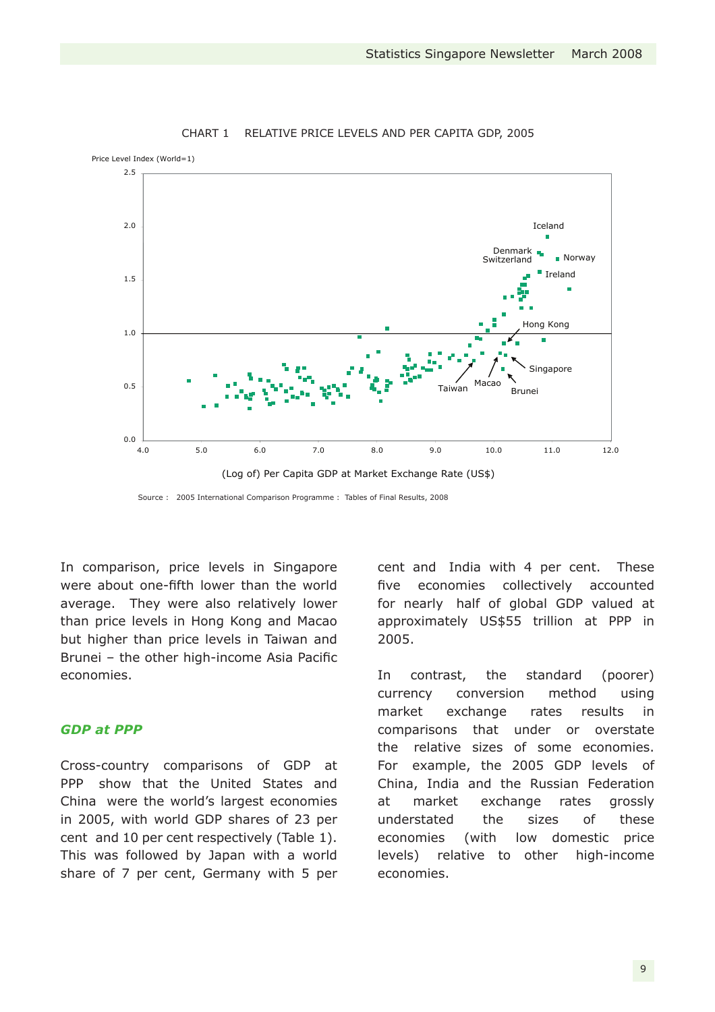

#### CHART 1 RELATIVE PRICE LEVELS AND PER CAPITA GDP, 2005

Source : 2005 International Comparison Programme : Tables of Final Results, 2008

In comparison, price levels in Singapore were about one-fifth lower than the world average. They were also relatively lower than price levels in Hong Kong and Macao but higher than price levels in Taiwan and Brunei – the other high-income Asia Pacific economies.

#### *GDP at PPP*

Cross-country comparisons of GDP at PPP show that the United States and China were the world's largest economies in 2005, with world GDP shares of 23 per cent and 10 per cent respectively (Table 1). This was followed by Japan with a world share of 7 per cent, Germany with 5 per cent and India with 4 per cent. These five economies collectively accounted for nearly half of global GDP valued at approximately US\$55 trillion at PPP in 2005.

In contrast, the standard (poorer) currency conversion method using market exchange rates results in comparisons that under or overstate the relative sizes of some economies. For example, the 2005 GDP levels of China, India and the Russian Federation at market exchange rates grossly understated the sizes of these economies (with low domestic price levels) relative to other high-income economies.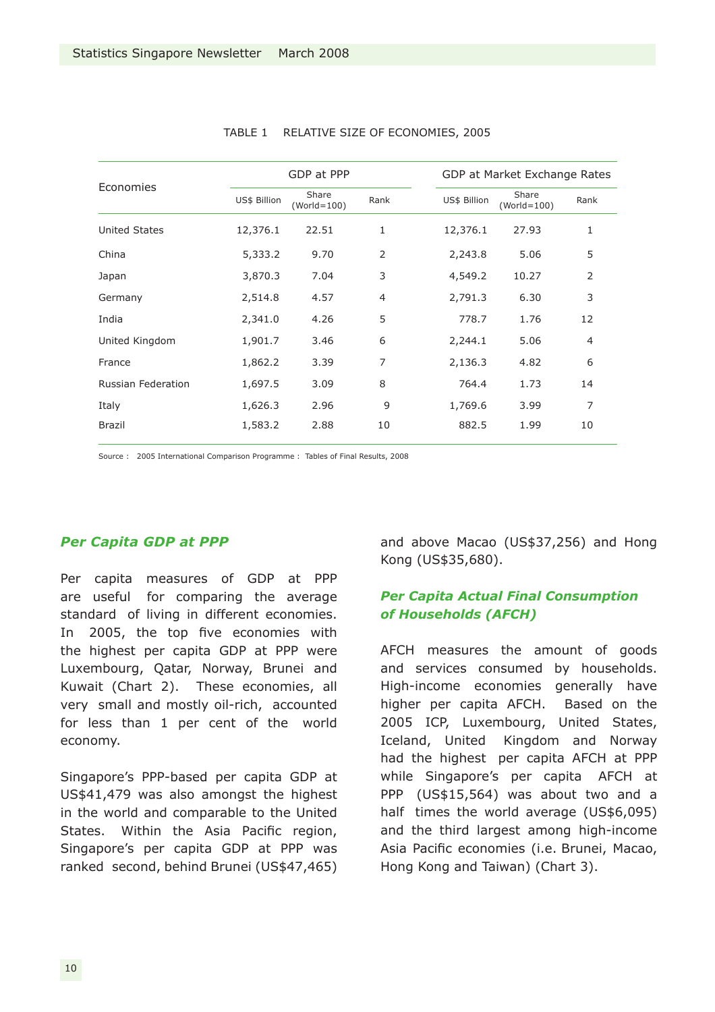| Economies            | GDP at PPP   |                        |                | GDP at Market Exchange Rates |                        |                |
|----------------------|--------------|------------------------|----------------|------------------------------|------------------------|----------------|
|                      | US\$ Billion | Share<br>$(World=100)$ | Rank           | US\$ Billion                 | Share<br>$(World=100)$ | Rank           |
| <b>United States</b> | 12,376.1     | 22.51                  | 1              | 12,376.1                     | 27.93                  | 1              |
| China                | 5,333.2      | 9.70                   | 2              | 2,243.8                      | 5.06                   | 5              |
| Japan                | 3,870.3      | 7.04                   | 3              | 4,549.2                      | 10.27                  | $\overline{2}$ |
| Germany              | 2,514.8      | 4.57                   | $\overline{4}$ | 2,791.3                      | 6.30                   | 3              |
| India                | 2,341.0      | 4.26                   | 5              | 778.7                        | 1.76                   | 12             |
| United Kingdom       | 1,901.7      | 3.46                   | 6              | 2,244.1                      | 5.06                   | 4              |
| France               | 1,862.2      | 3.39                   | 7              | 2,136.3                      | 4.82                   | 6              |
| Russian Federation   | 1,697.5      | 3.09                   | 8              | 764.4                        | 1.73                   | 14             |
| Italy                | 1,626.3      | 2.96                   | 9              | 1,769.6                      | 3.99                   | 7              |
| <b>Brazil</b>        | 1,583.2      | 2.88                   | 10             | 882.5                        | 1.99                   | 10             |
|                      |              |                        |                |                              |                        |                |

#### TABLE 1 RELATIVE SIZE OF ECONOMIES, 2005

Source : 2005 International Comparison Programme : Tables of Final Results, 2008

### *Per Capita GDP at PPP*

Per capita measures of GDP at PPP are useful for comparing the average standard of living in different economies. In 2005, the top five economies with the highest per capita GDP at PPP were Luxembourg, Qatar, Norway, Brunei and Kuwait (Chart 2). These economies, all very small and mostly oil-rich, accounted for less than 1 per cent of the world economy.

Singapore's PPP-based per capita GDP at US\$41,479 was also amongst the highest in the world and comparable to the United States. Within the Asia Pacific region, Singapore's per capita GDP at PPP was ranked second, behind Brunei (US\$47,465) and above Macao (US\$37,256) and Hong Kong (US\$35,680).

## *Per Capita Actual Final Consumption of Households (AFCH)*

AFCH measures the amount of goods and services consumed by households. High-income economies generally have higher per capita AFCH. Based on the 2005 ICP, Luxembourg, United States, Iceland, United Kingdom and Norway had the highest per capita AFCH at PPP while Singapore's per capita AFCH at PPP (US\$15,564) was about two and a half times the world average (US\$6,095) and the third largest among high-income Asia Pacific economies (i.e. Brunei, Macao, Hong Kong and Taiwan) (Chart 3).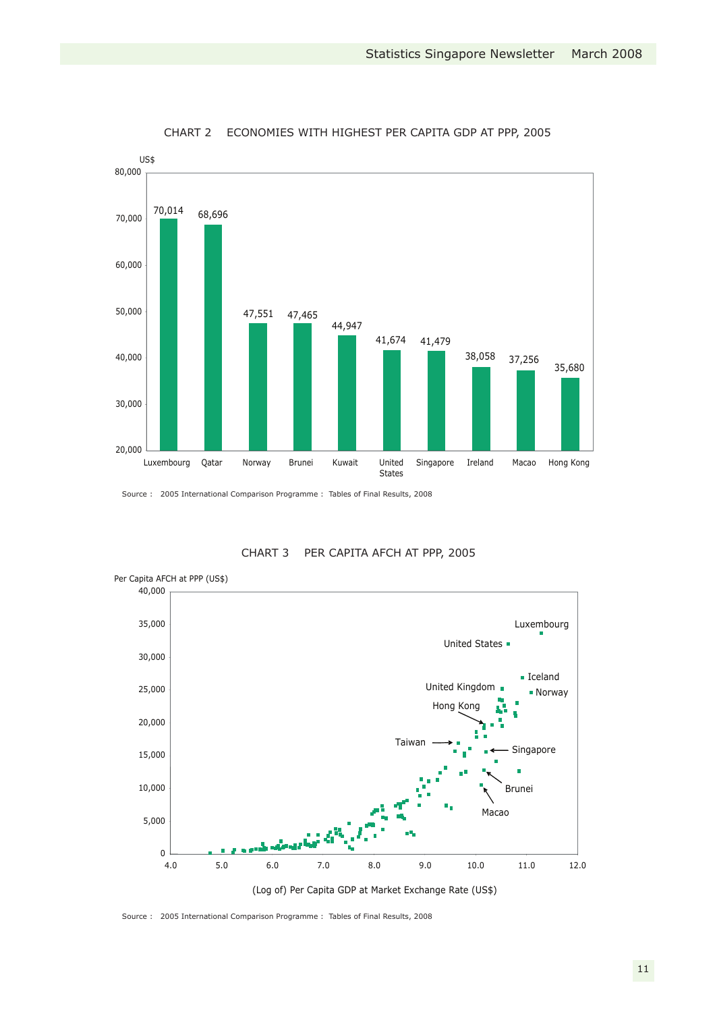

CHART 2 ECONOMIES WITH HIGHEST PER CAPITA GDP AT PPP, 2005

Source : 2005 International Comparison Programme : Tables of Final Results, 2008



CHART 3 PER CAPITA AFCH AT PPP, 2005

Source : 2005 International Comparison Programme : Tables of Final Results, 2008